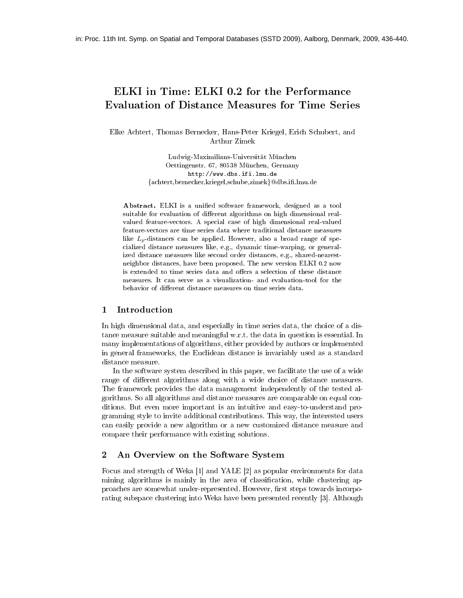# ELKI in Time: ELKI 0.2 for the Performance Evaluation of Distance Measures for Time Series

Elke Achtert, Thomas Bernecker, Hans-Peter Kriegel, Erich Schubert, and Arthur Zimek

> Ludwig-Maximilians-Universität München Oettingenstr. 67, 80538 München, Germany http://www.dbs.ifi.lmu.de  ${achtert, bernecker, kriegel,schube, zimek}@dbs.$ ifi.lmu.de

Abstract. ELKI is a unified software framework, designed as a tool suitable for evaluation of different algorithms on high dimensional realvalued feature-vectors. A special case of high dimensional real-valued feature-vectors are time series data where traditional distance measures like  $L_p$ -distances can be applied. However, also a broad range of specialized distance measures like, e.g., dynamic time-warping, or generalized distance measures like second order distances, e.g., shared-nearestneighbor distances, have been proposed. The new version ELKI 0.2 now is extended to time series data and offers a selection of these distance measures. It can serve as a visualization- and evaluation-tool for the behavior of different distance measures on time series data.

## 1 Introduction

In high dimensional data, and especially in time series data, the choice of a distance measure suitable and meaningful w.r.t. the data in question is essential. In many implementations of algorithms, either provided by authors or implemented in general frameworks, the Euclidean distance is invariably used as a standard distance measure.

In the software system described in this paper, we facilitate the use of a wide range of different algorithms along with a wide choice of distance measures. The framework provides the data management independently of the tested algorithms. So all algorithms and distance measures are comparable on equal conditions. But even more important is an intuitive and easy-to-understand programming style to invite additional contributions. This way, the interested users can easily provide a new algorithm or a new customized distance measure and compare their performance with existing solutions.

### 2 An Overview on the Software System

Focus and strength of Weka [1] and YALE [2] as popular environments for data mining algorithms is mainly in the area of classification, while clustering approaches are somewhat under-represented. However, first steps towards incorporating subspace clustering into Weka have been presented recently [3]. Although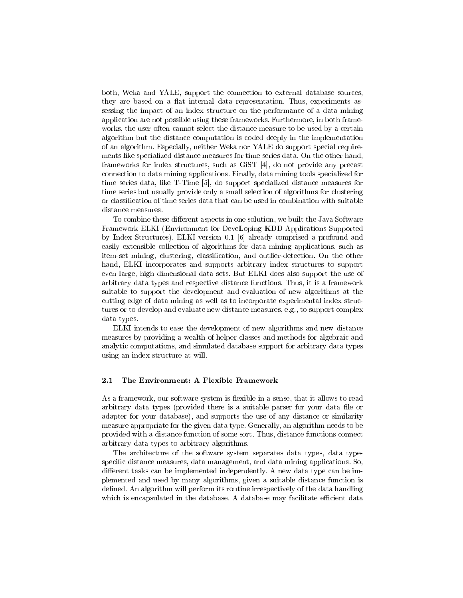both, Weka and YALE, support the connection to external database sources, they are based on a flat internal data representation. Thus, experiments assessing the impact of an index structure on the performance of a data mining application are not possible using these frameworks. Furthermore, in both frameworks, the user often cannot select the distance measure to be used by a certain algorithm but the distance computation is coded deeply in the implementation of an algorithm. Especially, neither Weka nor YALE do support special requirements like specialized distance measures for time series data. On the other hand, frameworks for index structures, such as GiST [4], do not provide any precast connection to data mining applications. Finally, data mining tools specialized for time series data, like T-Time [5], do support specialized distance measures for time series but usually provide only a small selection of algorithms for clustering or classication of time series data that can be used in combination with suitable distance measures.

To combine these different aspects in one solution, we built the Java Software Framework ELKI (Environment for DeveLoping KDD-Applications Supported by Index Structures). ELKI version 0.1 [6] already comprised a profound and easily extensible collection of algorithms for data mining applications, such as item-set mining, clustering, classification, and outlier-detection. On the other hand, ELKI incorporates and supports arbitrary index structures to support even large, high dimensional data sets. But ELKI does also support the use of arbitrary data types and respective distance functions. Thus, it is a framework suitable to support the development and evaluation of new algorithms at the cutting edge of data mining as well as to incorporate experimental index structures or to develop and evaluate new distance measures, e.g., to support complex data types.

ELKI intends to ease the development of new algorithms and new distance measures by providing a wealth of helper classes and methods for algebraic and analytic computations, and simulated database support for arbitrary data types using an index structure at will.

#### 2.1 The Environment: A Flexible Framework

As a framework, our software system is flexible in a sense, that it allows to read arbitrary data types (provided there is a suitable parser for your data file or adapter for your database), and supports the use of any distance or similarity measure appropriate for the given data type. Generally, an algorithm needs to be provided with a distance function of some sort. Thus, distance functions connect arbitrary data types to arbitrary algorithms.

The architecture of the software system separates data types, data typespecific distance measures, data management, and data mining applications. So, different tasks can be implemented independently. A new data type can be implemented and used by many algorithms, given a suitable distance function is defined. An algorithm will perform its routine irrespectively of the data handling which is encapsulated in the database. A database may facilitate efficient data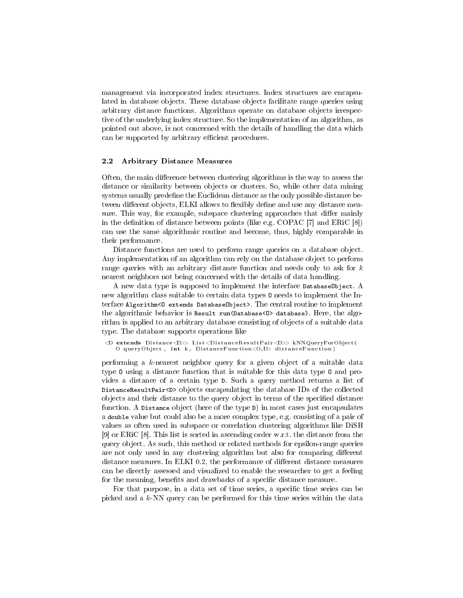management via incorporated index structures. Index structures are encapsulated in database objects. These database objects facilitate range queries using arbitrary distance functions. Algorithms operate on database objects irrespective of the underlying index structure. So the implementation of an algorithm, as pointed out above, is not concerned with the details of handling the data which can be supported by arbitrary efficient procedures.

#### 2.2 Arbitrary Distance Measures

Often, the main difference between clustering algorithms is the way to assess the distance or similarity between objects or clusters. So, while other data mining systems usually predefine the Euclidean distance as the only possible distance between different objects, ELKI allows to flexibly define and use any distance measure. This way, for example, subspace clustering approaches that differ mainly in the definition of distance between points (like e.g. COPAC  $[7]$  and ERiC  $[8]$ ) can use the same algorithmic routine and become, thus, highly comparable in their performance.

Distance functions are used to perform range queries on a database object. Any implementation of an algorithm can rely on the database object to perform range queries with an arbitrary distance function and needs only to ask for  $k$ nearest neighbors not being concerned with the details of data handling.

A new data type is supposed to implement the interface DatabaseObject. A new algorithm class suitable to certain data types O needs to implement the Interface Algorithm<0 extends DatabaseObject>. The central routine to implement the algorithmic behavior is Result run(Database<O> database). Here, the algorithm is applied to an arbitrary database consisting of objects of a suitable data type. The database supports operations like

```
<D extends Distance<D>> List <DistanceResultPair<D>> kNNQueryForObject (
O query Object, int k, Distance Function \langle O, D \rangle distance Function)
```
performing a k-nearest neighbor query for a given object of a suitable data type O using a distance function that is suitable for this data type O and provides a distance of a certain type D. Such a query method returns a list of DistanceResultPair<D> objects encapsulating the database IDs of the collected objects and their distance to the query object in terms of the specified distance function. A Distance object (here of the type D) in most cases just encapsulates a double value but could also be a more complex type, e.g. consisting of a pair of values as often used in subspace or correlation clustering algorithms like DiSH [9] or ERiC [8]. This list is sorted in ascending order w.r.t. the distance from the query object. As such, this method or related methods for epsilon-range queries are not only used in any clustering algorithm but also for comparing different distance measures. In ELKI 0.2, the performance of different distance measures can be directly assessed and visualized to enable the researcher to get a feeling for the meaning, benefits and drawbacks of a specific distance measure.

For that purpose, in a data set of time series, a specific time series can be picked and a k-NN query can be performed for this time series within the data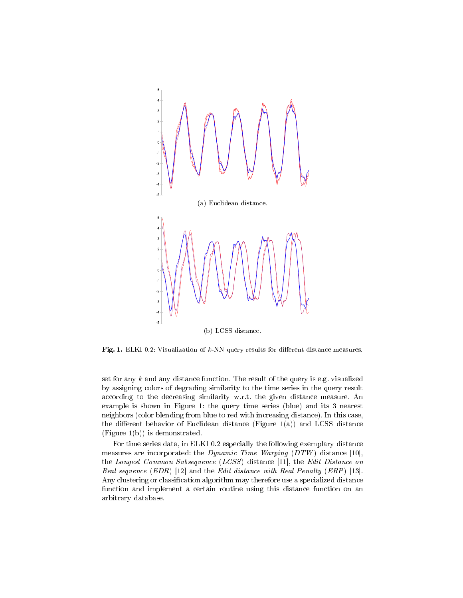

Fig. 1. ELKI 0.2: Visualization of  $k$ -NN query results for different distance measures.

set for any k and any distance function. The result of the query is e.g. visualized by assigning colors of degrading similarity to the time series in the query result according to the decreasing similarity w.r.t. the given distance measure. An example is shown in Figure 1: the query time series (blue) and its 3 nearest neighbors (color blending from blue to red with increasing distance). In this case, the different behavior of Euclidean distance (Figure  $1(a)$ ) and LCSS distance (Figure 1(b)) is demonstrated.

For time series data, in ELKI 0.2 especially the following exemplary distance measures are incorporated: the Dynamic Time Warping  $(DTW)$  distance [10], the Longest Common Subsequence (LCSS) distance [11], the Edit Distance on Real sequence (EDR) [12] and the Edit distance with Real Penalty (ERP) [13]. Any clustering or classification algorithm may therefore use a specialized distance function and implement a certain routine using this distance function on an arbitrary database.